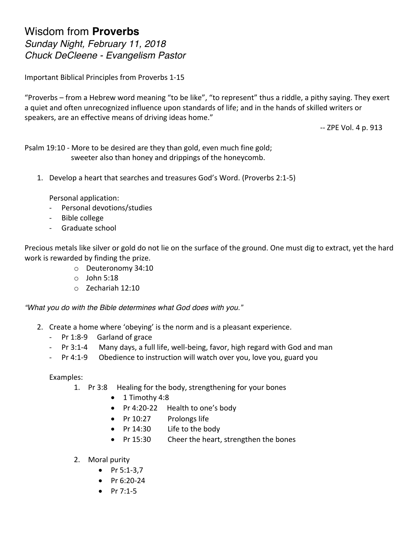## Wisdom from **Proverbs** *Sunday Night, February 11, 2018 Chuck DeCleene - Evangelism Pastor*

Important Biblical Principles from Proverbs 1-15

"Proverbs – from a Hebrew word meaning "to be like", "to represent" thus a riddle, a pithy saying. They exert a quiet and often unrecognized influence upon standards of life; and in the hands of skilled writers or speakers, are an effective means of driving ideas home."

-- ZPE Vol. 4 p. 913

Psalm 19:10 - More to be desired are they than gold, even much fine gold; sweeter also than honey and drippings of the honeycomb.

1. Develop a heart that searches and treasures God's Word. (Proverbs 2:1-5)

Personal application:

- Personal devotions/studies
- Bible college
- Graduate school

Precious metals like silver or gold do not lie on the surface of the ground. One must dig to extract, yet the hard work is rewarded by finding the prize.

- o Deuteronomy 34:10
- $\circ$  John 5:18
- o Zechariah 12:10

*"What you do with the Bible determines what God does with you."*

- 2. Create a home where 'obeying' is the norm and is a pleasant experience.
	- Pr 1:8-9 Garland of grace
	- Pr 3:1-4 Many days, a full life, well-being, favor, high regard with God and man
	- Pr 4:1-9 Obedience to instruction will watch over you, love you, guard you

Examples:

- 1. Pr 3:8 Healing for the body, strengthening for your bones
	- $\bullet$  1 Timothy 4:8
	- Pr 4:20-22 Health to one's body
	- Pr 10:27 Prolongs life
	- Pr 14:30 Life to the body
	- Pr 15:30 Cheer the heart, strengthen the bones
- 2. Moral purity
	- Pr  $5:1-3,7$
	- Pr $6:20-24$
	- Pr  $7:1-5$